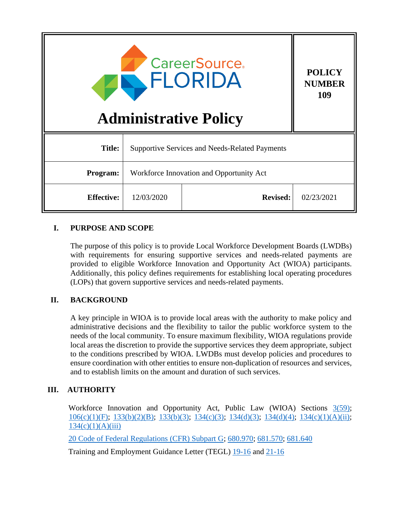

**POLICY** 

**109**

| Program:          | Workforce Innovation and Opportunity Act |                 |            |
|-------------------|------------------------------------------|-----------------|------------|
| <b>Effective:</b> | 12/03/2020                               | <b>Revised:</b> | 02/23/2021 |

# **I. PURPOSE AND SCOPE**

The purpose of this policy is to provide Local Workforce Development Boards (LWDBs) with requirements for ensuring supportive services and needs-related payments are provided to eligible Workforce Innovation and Opportunity Act (WIOA) participants. Additionally, this policy defines requirements for establishing local operating procedures (LOPs) that govern supportive services and needs-related payments.

## **II. BACKGROUND**

A key principle in WIOA is to provide local areas with the authority to make policy and administrative decisions and the flexibility to tailor the public workforce system to the needs of the local community. To ensure maximum flexibility, WIOA regulations provide local areas the discretion to provide the supportive services they deem appropriate, subject to the conditions prescribed by WIOA. LWDBs must develop policies and procedures to ensure coordination with other entities to ensure non-duplication of resources and services, and to establish limits on the amount and duration of such services.

## **III. AUTHORITY**

Workforce Innovation and Opportunity Act, Public Law (WIOA) Sections  $3(59)$ ; [106\(c\)\(1\)\(F\); 133\(b\)\(2\)\(B\);](https://www.govinfo.gov/content/pkg/PLAW-113publ128/pdf/PLAW-113publ128.pdf) [133\(b\)\(3\);](https://www.govinfo.gov/content/pkg/PLAW-113publ128/pdf/PLAW-113publ128.pdf) [134\(c\)\(3\);](https://www.govinfo.gov/content/pkg/PLAW-113publ128/pdf/PLAW-113publ128.pdf) [134\(d\)\(3\);](https://www.govinfo.gov/content/pkg/PLAW-113publ128/pdf/PLAW-113publ128.pdf) [134\(d\)\(4\); 134\(c\)\(1\)\(A\)\(ii\);](https://www.govinfo.gov/content/pkg/PLAW-113publ128/pdf/PLAW-113publ128.pdf)  $134(c)(1)(A)(iii)$ 

[20 Code of Federal Regulations \(CFR\) Subpart G;](https://ecfr.federalregister.gov/current/title-20/chapter-V/part-680/subpart-G) [680.970;](https://ecfr.federalregister.gov/current/title-20/chapter-V/part-680/subpart-G) [681.570;](https://ecfr.federalregister.gov/current/title-20/chapter-V/part-681/subpart-C/section-681.570) [681.640](https://ecfr.federalregister.gov/current/title-20/chapter-V/part-681/subpart-C/section-681.640)

Training and Employment Guidance Letter (TEGL) [19-16](https://wdr.doleta.gov/directives/attach/TEGL/TEGL_19-16_acc.pdf) and [21-16](https://wdr.doleta.gov/directives/attach/TEGL/TEGL_21-16_Acc.pdf)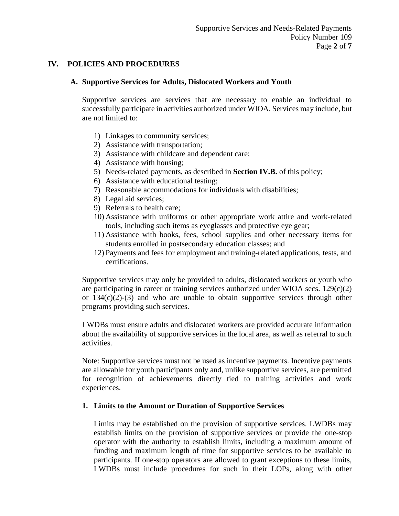#### **IV. POLICIES AND PROCEDURES**

#### **A. Supportive Services for Adults, Dislocated Workers and Youth**

Supportive services are services that are necessary to enable an individual to successfully participate in activities authorized under WIOA. Services may include, but are not limited to:

- 1) Linkages to community services;
- 2) Assistance with transportation;
- 3) Assistance with childcare and dependent care;
- 4) Assistance with housing;
- 5) Needs-related payments, as described in **Section IV.B.** of this policy;
- 6) Assistance with educational testing;
- 7) Reasonable accommodations for individuals with disabilities;
- 8) Legal aid services;
- 9) Referrals to health care;
- 10) Assistance with uniforms or other appropriate work attire and work-related tools, including such items as eyeglasses and protective eye gear;
- 11) Assistance with books, fees, school supplies and other necessary items for students enrolled in postsecondary education classes; and
- 12) Payments and fees for employment and training-related applications, tests, and certifications.

Supportive services may only be provided to adults, dislocated workers or youth who are participating in career or training services authorized under WIOA secs. 129(c)(2) or  $134(c)(2)-(3)$  and who are unable to obtain supportive services through other programs providing such services.

LWDBs must ensure adults and dislocated workers are provided accurate information about the availability of supportive services in the local area, as well as referral to such activities.

Note: Supportive services must not be used as incentive payments. Incentive payments are allowable for youth participants only and, unlike supportive services, are permitted for recognition of achievements directly tied to training activities and work experiences.

#### **1. Limits to the Amount or Duration of Supportive Services**

Limits may be established on the provision of supportive services. LWDBs may establish limits on the provision of supportive services or provide the one-stop operator with the authority to establish limits, including a maximum amount of funding and maximum length of time for supportive services to be available to participants. If one-stop operators are allowed to grant exceptions to these limits, LWDBs must include procedures for such in their LOPs, along with other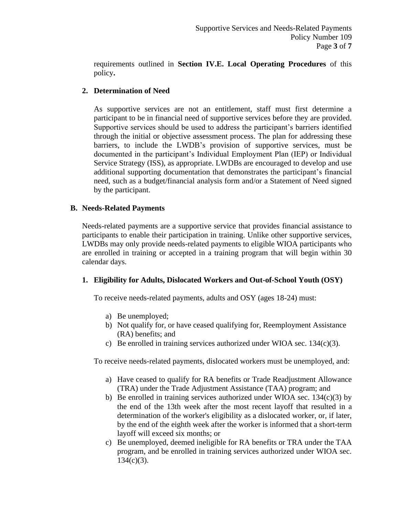requirements outlined in **Section IV.E. Local Operating Procedures** of this policy**.**

## **2. Determination of Need**

As supportive services are not an entitlement, staff must first determine a participant to be in financial need of supportive services before they are provided. Supportive services should be used to address the participant's barriers identified through the initial or objective assessment process. The plan for addressing these barriers, to include the LWDB's provision of supportive services, must be documented in the participant's Individual Employment Plan (IEP) or Individual Service Strategy (ISS), as appropriate. LWDBs are encouraged to develop and use additional supporting documentation that demonstrates the participant's financial need, such as a budget/financial analysis form and/or a Statement of Need signed by the participant.

#### **B. Needs-Related Payments**

Needs-related payments are a supportive service that provides financial assistance to participants to enable their participation in training. Unlike other supportive services, LWDBs may only provide needs-related payments to eligible WIOA participants who are enrolled in training or accepted in a training program that will begin within 30 calendar days.

#### **1. Eligibility for Adults, Dislocated Workers and Out-of-School Youth (OSY)**

To receive needs-related payments, adults and OSY (ages 18-24) must:

- a) Be unemployed;
- b) Not qualify for, or have ceased qualifying for, Reemployment Assistance (RA) benefits; and
- c) Be enrolled in training services authorized under WIOA sec.  $134(c)(3)$ .

To receive needs-related payments, dislocated workers must be unemployed, and:

- a) Have ceased to qualify for RA benefits or Trade Readjustment Allowance (TRA) under the Trade Adjustment Assistance (TAA) program; and
- b) Be enrolled in training services authorized under WIOA sec.  $134(c)(3)$  by the end of the 13th week after the most recent layoff that resulted in a determination of the worker's eligibility as a dislocated worker, or, if later, by the end of the eighth week after the worker is informed that a short-term layoff will exceed six months; or
- c) Be unemployed, deemed ineligible for RA benefits or TRA under the TAA program, and be enrolled in training services authorized under WIOA sec.  $134(c)(3)$ .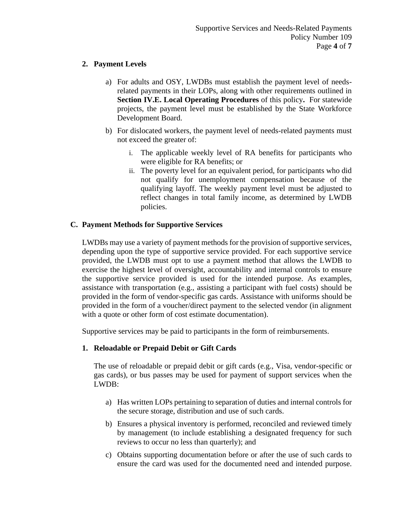## **2. Payment Levels**

- a) For adults and OSY, LWDBs must establish the payment level of needsrelated payments in their LOPs, along with other requirements outlined in **Section IV.E. Local Operating Procedures** of this policy**.** For statewide projects, the payment level must be established by the State Workforce Development Board.
- b) For dislocated workers, the payment level of needs-related payments must not exceed the greater of:
	- i. The applicable weekly level of RA benefits for participants who were eligible for RA benefits; or
	- ii. The poverty level for an equivalent period, for participants who did not qualify for unemployment compensation because of the qualifying layoff. The weekly payment level must be adjusted to reflect changes in total family income, as determined by LWDB policies.

## **C. Payment Methods for Supportive Services**

LWDBs may use a variety of payment methods for the provision of supportive services, depending upon the type of supportive service provided. For each supportive service provided, the LWDB must opt to use a payment method that allows the LWDB to exercise the highest level of oversight, accountability and internal controls to ensure the supportive service provided is used for the intended purpose. As examples, assistance with transportation (e.g., assisting a participant with fuel costs) should be provided in the form of vendor-specific gas cards. Assistance with uniforms should be provided in the form of a voucher/direct payment to the selected vendor (in alignment with a quote or other form of cost estimate documentation).

Supportive services may be paid to participants in the form of reimbursements.

## **1. Reloadable or Prepaid Debit or Gift Cards**

The use of reloadable or prepaid debit or gift cards (e.g., Visa, vendor-specific or gas cards), or bus passes may be used for payment of support services when the LWDB:

- a) Has written LOPs pertaining to separation of duties and internal controls for the secure storage, distribution and use of such cards.
- b) Ensures a physical inventory is performed, reconciled and reviewed timely by management (to include establishing a designated frequency for such reviews to occur no less than quarterly); and
- c) Obtains supporting documentation before or after the use of such cards to ensure the card was used for the documented need and intended purpose.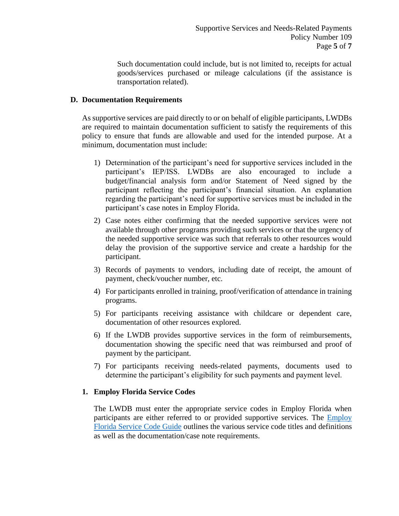Such documentation could include, but is not limited to, receipts for actual goods/services purchased or mileage calculations (if the assistance is transportation related).

### **D. Documentation Requirements**

As supportive services are paid directly to or on behalf of eligible participants, LWDBs are required to maintain documentation sufficient to satisfy the requirements of this policy to ensure that funds are allowable and used for the intended purpose. At a minimum, documentation must include:

- 1) Determination of the participant's need for supportive services included in the participant's IEP/ISS. LWDBs are also encouraged to include a budget/financial analysis form and/or Statement of Need signed by the participant reflecting the participant's financial situation. An explanation regarding the participant's need for supportive services must be included in the participant's case notes in Employ Florida.
- 2) Case notes either confirming that the needed supportive services were not available through other programs providing such services or that the urgency of the needed supportive service was such that referrals to other resources would delay the provision of the supportive service and create a hardship for the participant.
- 3) Records of payments to vendors, including date of receipt, the amount of payment, check/voucher number, etc.
- 4) For participants enrolled in training, proof/verification of attendance in training programs.
- 5) For participants receiving assistance with childcare or dependent care, documentation of other resources explored.
- 6) If the LWDB provides supportive services in the form of reimbursements, documentation showing the specific need that was reimbursed and proof of payment by the participant.
- 7) For participants receiving needs-related payments, documents used to determine the participant's eligibility for such payments and payment level.

#### **1. Employ Florida Service Codes**

The LWDB must enter the appropriate service codes in Employ Florida when participants are either referred to or provided supportive services. The [Employ](http://www.floridajobs.org/docs/default-source/lwdb-resources/programs-and-resources/wioa/2020-wioa/service-code-guide-update_june2020.pdf?sfvrsn=aa1a46b0_2)  [Florida Service Code Guide](http://www.floridajobs.org/docs/default-source/lwdb-resources/programs-and-resources/wioa/2020-wioa/service-code-guide-update_june2020.pdf?sfvrsn=aa1a46b0_2) outlines the various service code titles and definitions as well as the documentation/case note requirements.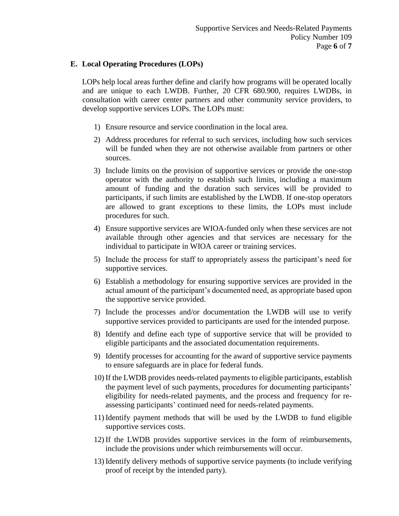### **E. Local Operating Procedures (LOPs)**

LOPs help local areas further define and clarify how programs will be operated locally and are unique to each LWDB. Further, 20 CFR 680.900, requires LWDBs, in consultation with career center partners and other community service providers, to develop supportive services LOPs. The LOPs must:

- 1) Ensure resource and service coordination in the local area.
- 2) Address procedures for referral to such services, including how such services will be funded when they are not otherwise available from partners or other sources.
- 3) Include limits on the provision of supportive services or provide the one-stop operator with the authority to establish such limits, including a maximum amount of funding and the duration such services will be provided to participants, if such limits are established by the LWDB. If one-stop operators are allowed to grant exceptions to these limits, the LOPs must include procedures for such.
- 4) Ensure supportive services are WIOA-funded only when these services are not available through other agencies and that services are necessary for the individual to participate in WIOA career or training services.
- 5) Include the process for staff to appropriately assess the participant's need for supportive services.
- 6) Establish a methodology for ensuring supportive services are provided in the actual amount of the participant's documented need, as appropriate based upon the supportive service provided.
- 7) Include the processes and/or documentation the LWDB will use to verify supportive services provided to participants are used for the intended purpose.
- 8) Identify and define each type of supportive service that will be provided to eligible participants and the associated documentation requirements.
- 9) Identify processes for accounting for the award of supportive service payments to ensure safeguards are in place for federal funds.
- 10) If the LWDB provides needs-related payments to eligible participants, establish the payment level of such payments, procedures for documenting participants' eligibility for needs-related payments, and the process and frequency for reassessing participants' continued need for needs-related payments.
- 11) Identify payment methods that will be used by the LWDB to fund eligible supportive services costs.
- 12) If the LWDB provides supportive services in the form of reimbursements, include the provisions under which reimbursements will occur.
- 13) Identify delivery methods of supportive service payments (to include verifying proof of receipt by the intended party).